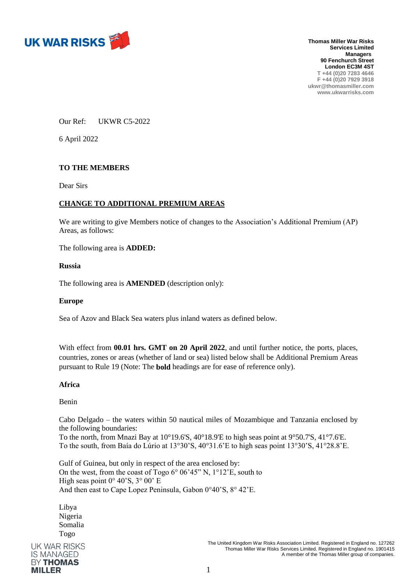

**Thomas Miller War Risks Services Limited Managers 90 Fenchurch Street London EC3M 4ST T +44 (0)20 7283 4646 F +44 (0)20 7929 3918 ukwr@thomasmiller.com www.ukwarrisks.com**

Our Ref: UKWR C5-2022

6 April 2022

# **TO THE MEMBERS**

Dear Sirs

# **CHANGE TO ADDITIONAL PREMIUM AREAS**

We are writing to give Members notice of changes to the Association's Additional Premium (AP) Areas, as follows:

The following area is **ADDED:**

### **Russia**

The following area is **AMENDED** (description only):

### **Europe**

Sea of Azov and Black Sea waters plus inland waters as defined below.

With effect from **00.01 hrs. GMT on 20 April 2022**, and until further notice, the ports, places, countries, zones or areas (whether of land or sea) listed below shall be Additional Premium Areas pursuant to Rule 19 (Note: The **bold** headings are for ease of reference only).

### **Africa**

Benin

Cabo Delgado – the waters within 50 nautical miles of Mozambique and Tanzania enclosed by the following boundaries:

To the north, from Mnazi Bay at 10°19.6'S, 40°18.9'E to high seas point at 9°50.7'S, 41°7.6'E. To the south, from Baía do Lúrio at 13°30'S, 40°31.6'E to high seas point 13°30'S, 41°28.8'E.

Gulf of Guinea, but only in respect of the area enclosed by: On the west, from the coast of Togo 6° 06'45" N, 1°12'E, south to High seas point  $0^{\circ}$  40'S,  $3^{\circ}$  00' E And then east to Cape Lopez Peninsula, Gabon 0°40'S, 8° 42'E.

Libya Nigeria Somalia TogoUK WAR RISKS **IS MANAGED BY THOMAS MILLER**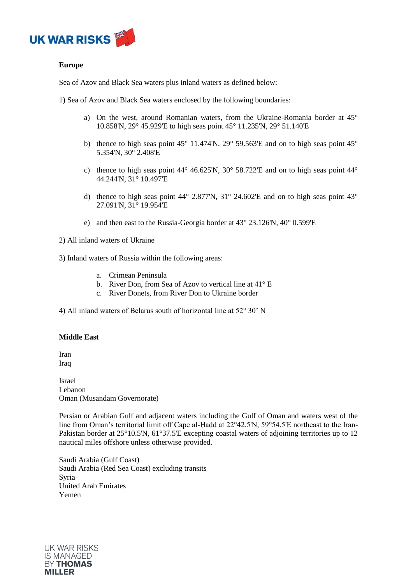

## **Europe**

Sea of Azov and Black Sea waters plus inland waters as defined below:

1) Sea of Azov and Black Sea waters enclosed by the following boundaries:

- a) On the west, around Romanian waters, from the Ukraine-Romania border at 45° 10.858'N, 29° 45.929'E to high seas point 45° 11.235'N, 29° 51.140'E
- b) thence to high seas point  $45^{\circ}$  11.474'N,  $29^{\circ}$  59.563'E and on to high seas point  $45^{\circ}$ 5.354'N, 30° 2.408'E
- c) thence to high seas point 44° 46.625'N, 30° 58.722'E and on to high seas point 44° 44.244'N, 31° 10.497'E
- d) thence to high seas point 44° 2.877'N, 31° 24.602'E and on to high seas point 43° 27.091'N, 31° 19.954'E
- e) and then east to the Russia-Georgia border at 43° 23.126'N, 40° 0.599'E

2) All inland waters of Ukraine

3) Inland waters of Russia within the following areas:

- a. Crimean Peninsula
- b. River Don, from Sea of Azov to vertical line at 41° E
- c. River Donets, from River Don to Ukraine border

4) All inland waters of Belarus south of horizontal line at 52° 30' N

### **Middle East**

Iran Iraq

Israel Lebanon Oman (Musandam Governorate)

Persian or Arabian Gulf and adjacent waters including the Gulf of Oman and waters west of the line from Oman's territorial limit off Cape al-Ḥadd at 22°42.5'N, 59°54.5'E northeast to the Iran-Pakistan border at 25°10.5'N, 61°37.5'E excepting coastal waters of adjoining territories up to 12 nautical miles offshore unless otherwise provided.

Saudi Arabia (Gulf Coast) Saudi Arabia (Red Sea Coast) excluding transits Syria United Arab Emirates Yemen